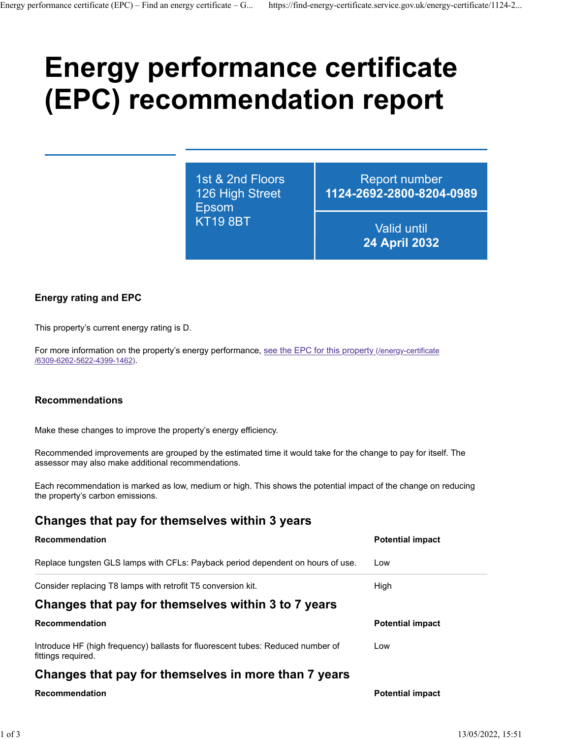# **Energy performance certificate (EPC) recommendation report**

1st & 2nd Floors 126 High Street Epsom KT19 8BT

Report number **1124-2692-2800-8204-0989**

> Valid until **24 April 2032**

## **Energy rating and EPC**

This property's current energy rating is D.

For more information on the property's energy performance, [see the EPC for this property \(/energy-certificate](https://find-energy-certificate.service.gov.uk/energy-certificate/6309-6262-5622-4399-1462) [/6309-6262-5622-4399-1462\).](https://find-energy-certificate.service.gov.uk/energy-certificate/6309-6262-5622-4399-1462)

#### **Recommendations**

Make these changes to improve the property's energy efficiency.

Recommended improvements are grouped by the estimated time it would take for the change to pay for itself. The assessor may also make additional recommendations.

Each recommendation is marked as low, medium or high. This shows the potential impact of the change on reducing the property's carbon emissions.

# **Changes that pay for themselves within 3 years**

| <b>Recommendation</b>                                                                                 | <b>Potential impact</b> |  |
|-------------------------------------------------------------------------------------------------------|-------------------------|--|
| Replace tungsten GLS lamps with CFLs: Payback period dependent on hours of use.                       | Low                     |  |
| Consider replacing T8 lamps with retrofit T5 conversion kit.                                          | High                    |  |
| Changes that pay for themselves within 3 to 7 years                                                   |                         |  |
| <b>Recommendation</b>                                                                                 | <b>Potential impact</b> |  |
| Introduce HF (high frequency) ballasts for fluorescent tubes: Reduced number of<br>fittings reguired. | Low                     |  |
| Changes that pay for themselves in more than 7 years                                                  |                         |  |

#### **Recommendation Potential impact**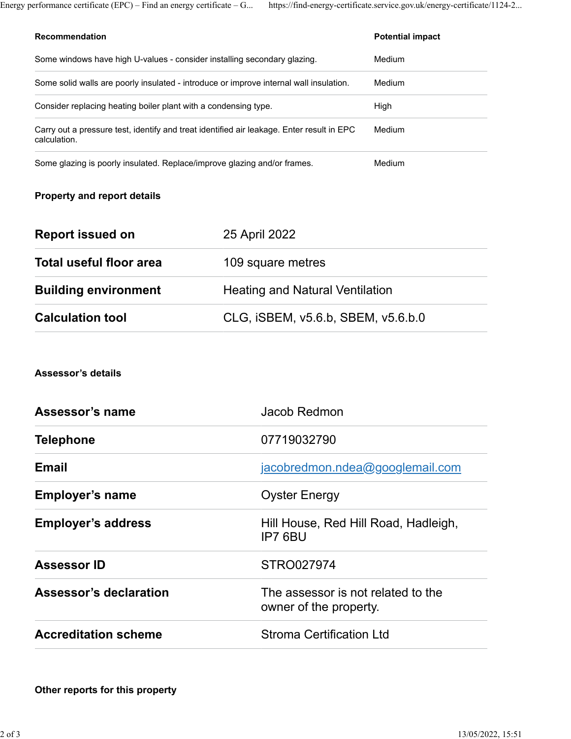Energy performance certificate (EPC) – Find an energy certificate – G... https://find-energy-certificate.service.gov.uk/energy-certificate/1124-2...

| <b>Recommendation</b>                                                                                     | <b>Potential impact</b> |
|-----------------------------------------------------------------------------------------------------------|-------------------------|
| Some windows have high U-values - consider installing secondary glazing.                                  | Medium                  |
| Some solid walls are poorly insulated - introduce or improve internal wall insulation.                    | Medium                  |
| Consider replacing heating boiler plant with a condensing type.                                           | High                    |
| Carry out a pressure test, identify and treat identified air leakage. Enter result in EPC<br>calculation. | Medium                  |
| Some glazing is poorly insulated. Replace/improve glazing and/or frames.                                  | Medium                  |

# **Property and report details**

| <b>Report issued on</b>     | 25 April 2022                          |
|-----------------------------|----------------------------------------|
| Total useful floor area     | 109 square metres                      |
| <b>Building environment</b> | <b>Heating and Natural Ventilation</b> |
| <b>Calculation tool</b>     | CLG, ISBEM, v5.6.b, SBEM, v5.6.b.0     |

### **Assessor's details**

| Assessor's name               | Jacob Redmon                                                 |
|-------------------------------|--------------------------------------------------------------|
| <b>Telephone</b>              | 07719032790                                                  |
| <b>Email</b>                  | jacobredmon.ndea@googlemail.com                              |
| <b>Employer's name</b>        | <b>Oyster Energy</b>                                         |
| <b>Employer's address</b>     | Hill House, Red Hill Road, Hadleigh,<br>IP7 6BU              |
| <b>Assessor ID</b>            | STRO027974                                                   |
| <b>Assessor's declaration</b> | The assessor is not related to the<br>owner of the property. |
| <b>Accreditation scheme</b>   | <b>Stroma Certification Ltd</b>                              |

**Other reports for this property**